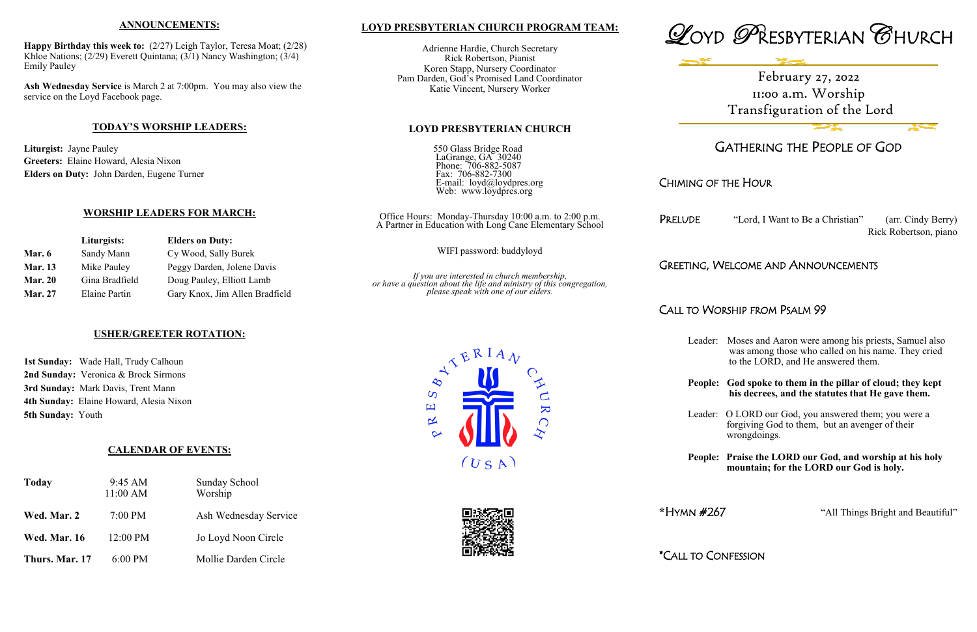### **LOYD PRESBYTERIAN CHURCH PROGRAM TEAM:**

Adrienne Hardie, Church Secretary Rick Robertson, Pianist Koren Stapp, Nursery Coordinator Pam Darden, God's Promised Land Coordinator Katie Vincent, Nursery Worker

#### **LOYD PRESBYTERIAN CHURCH**

| 550 Glass Bridge Road                              |
|----------------------------------------------------|
| LaGrange, GA 30240                                 |
| Phone: 706-882-5087                                |
| Fax: 706-882-7300                                  |
| E-mail: loyd@loydpres.org<br>Web: www.loydpres.org |
|                                                    |

PRELUDE "Lord, I Want to Be a Christian" (arr. Cindy Berry) Rick Robertson, piano

Office Hours: Monday-Thursday 10:00 a.m. to 2:00 p.m. A Partner in Education with Long Cane Elementary School

WIFI password: buddyloyd

*If you are interested in church membership, or have a question about the life and ministry of this congregation, please speak with one of our elders.*

> $\overline{S}$ 国

 $\propto$ 





# GATHERING THE PEOPLE OF GOD

# CHIMING OF THE HOUR

### GREETING, WELCOME AND ANNOUNCEMENTS

# CALL TO WORSHIP FROM PSALM 99

 $(USA)$ 

 $\overline{\mathbf{K}}$ 

 $\bigcap$ 

Leader: Moses and Aaron were among his priests, Samuel also was among those who called on his name. They cried to the LORD, and He answered them.

#### **People: God spoke to them in the pillar of cloud; they kept his decrees, and the statutes that He gave them.**

Leader: O LORD our God, you answered them; you were a forgiving God to them, but an avenger of their wrongdoings.

#### **People: Praise the LORD our God, and worship at his holy mountain; for the LORD our God is holy.**

**\***HYMN #267 "All Things Bright and Beautiful"

\*CALL TO CONFESSION

#### **ANNOUNCEMENTS:**

**Happy Birthday this week to:** (2/27) Leigh Taylor, Teresa Moat; (2/28) Khloe Nations; (2/29) Everett Quintana; (3/1) Nancy Washington; (3/4) Emily Pauley

**Ash Wednesday Service** is March 2 at 7:00pm. You may also view the service on the Loyd Facebook page.

### **TODAY'S WORSHIP LEADERS:**

**Liturgist:** Jayne Pauley **Greeters:** Elaine Howard, Alesia Nixon **Elders on Duty:** John Darden, Eugene Turner

#### **WORSHIP LEADERS FOR MARCH:**

|                | Liturgists:          | <b>Elders on Duty:</b>         |
|----------------|----------------------|--------------------------------|
| Mar. $6$       | Sandy Mann           | Cy Wood, Sally Burek           |
| <b>Mar. 13</b> | Mike Pauley          | Peggy Darden, Jolene Davis     |
| <b>Mar. 20</b> | Gina Bradfield       | Doug Pauley, Elliott Lamb      |
| <b>Mar. 27</b> | <b>Elaine Partin</b> | Gary Knox, Jim Allen Bradfield |

### **USHER/GREETER ROTATION:**

**1st Sunday:** Wade Hall, Trudy Calhoun **2nd Sunday:** Veronica & Brock Sirmons **3rd Sunday:** Mark Davis, Trent Mann **4th Sunday:** Elaine Howard, Alesia Nixon **5th Sunday:** Youth

### **CALENDAR OF EVENTS:**

| <b>Today</b>        | 9:45 AM<br>11:00 AM | <b>Sunday School</b><br>Worship |
|---------------------|---------------------|---------------------------------|
| Wed. Mar. 2         | $7:00$ PM           | Ash Wednesday Service           |
| <b>Wed. Mar. 16</b> | 12:00 PM            | Jo Loyd Noon Circle             |
| Thurs. Mar. 17      | $6:00$ PM           | Mollie Darden Circle            |

February 27, 2022 11:00 a.m. Worship Transfiguration of the Lord